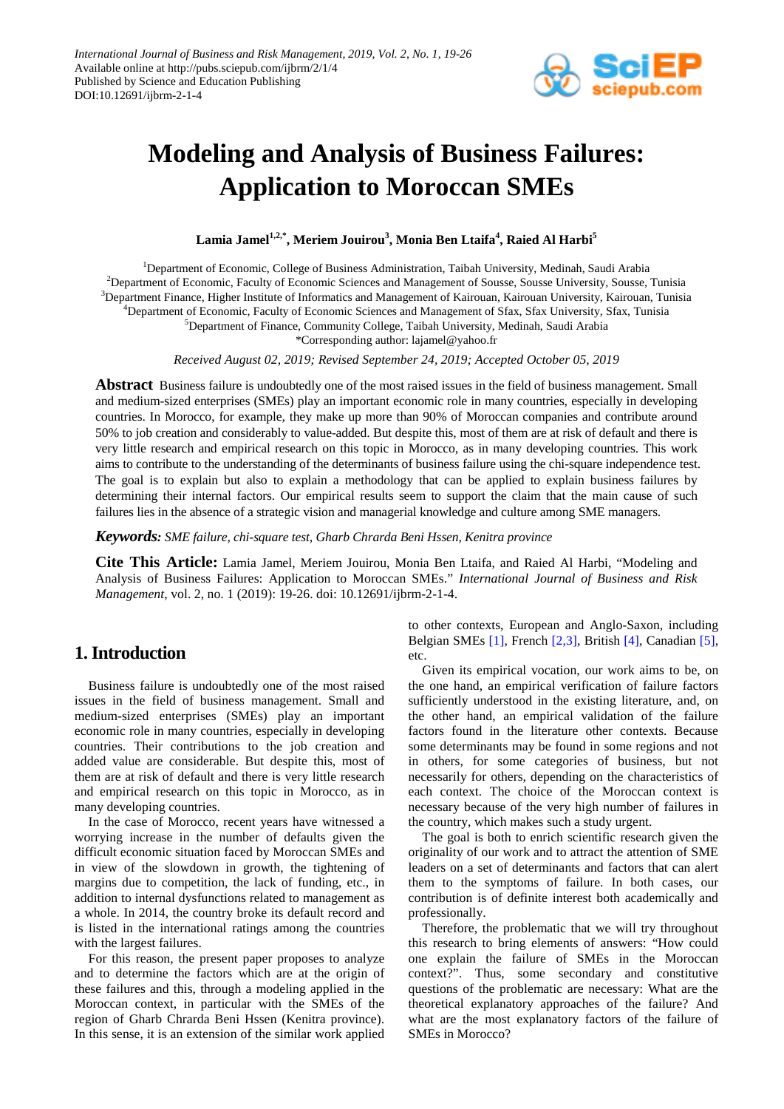

# **Modeling and Analysis of Business Failures: Application to Moroccan SMEs**

 $\mathbf{L}$ amia Jamel $^{1,2,*}, \mathbf{Meriem}\ \mathbf{J}$ ouirou $^3, \mathbf{Monia}\ \mathbf{Ben}\ \mathbf{L}$ taifa $^4, \mathbf{Raied}\ \mathbf{Al}\ \mathbf{Harbi}^5$ 

<sup>1</sup>Department of Economic, College of Business Administration, Taibah University, Medinah, Saudi Arabia Department of Economic, Faculty of Economic Sciences and Management of Sousse, Sousse University, Sousse, Tunisia Department Finance, Higher Institute of Informatics and Management of Kairouan, Kairouan University, Kairouan, Tunisia Department of Economic, Faculty of Economic Sciences and Management of Sfax, Sfax University, Sfax, Tunisia Department of Finance, Community College, Taibah University, Medinah, Saudi Arabia

\*Corresponding author: lajamel@yahoo.fr

*Received August 02, 2019; Revised September 24, 2019; Accepted October 05, 2019*

**Abstract** Business failure is undoubtedly one of the most raised issues in the field of business management. Small and medium-sized enterprises (SMEs) play an important economic role in many countries, especially in developing countries. In Morocco, for example, they make up more than 90% of Moroccan companies and contribute around 50% to job creation and considerably to value-added. But despite this, most of them are at risk of default and there is very little research and empirical research on this topic in Morocco, as in many developing countries. This work aims to contribute to the understanding of the determinants of business failure using the chi-square independence test. The goal is to explain but also to explain a methodology that can be applied to explain business failures by determining their internal factors. Our empirical results seem to support the claim that the main cause of such failures lies in the absence of a strategic vision and managerial knowledge and culture among SME managers.

*Keywords: SME failure, chi-square test, Gharb Chrarda Beni Hssen, Kenitra province*

**Cite This Article:** Lamia Jamel, Meriem Jouirou, Monia Ben Ltaifa, and Raied Al Harbi, "Modeling and Analysis of Business Failures: Application to Moroccan SMEs." *International Journal of Business and Risk Management*, vol. 2, no. 1 (2019): 19-26. doi: 10.12691/ijbrm-2-1-4.

# **1. Introduction**

Business failure is undoubtedly one of the most raised issues in the field of business management. Small and medium-sized enterprises (SMEs) play an important economic role in many countries, especially in developing countries. Their contributions to the job creation and added value are considerable. But despite this, most of them are at risk of default and there is very little research and empirical research on this topic in Morocco, as in many developing countries.

In the case of Morocco, recent years have witnessed a worrying increase in the number of defaults given the difficult economic situation faced by Moroccan SMEs and in view of the slowdown in growth, the tightening of margins due to competition, the lack of funding, etc., in addition to internal dysfunctions related to management as a whole. In 2014, the country broke its default record and is listed in the international ratings among the countries with the largest failures.

For this reason, the present paper proposes to analyze and to determine the factors which are at the origin of these failures and this, through a modeling applied in the Moroccan context, in particular with the SMEs of the region of Gharb Chrarda Beni Hssen (Kenitra province). In this sense, it is an extension of the similar work applied

to other contexts, European and Anglo-Saxon, including Belgian SMEs [\[1\],](#page-6-0) French [\[2,3\],](#page-6-1) British [\[4\],](#page-6-2) Canadian [\[5\],](#page-6-3) etc.

Given its empirical vocation, our work aims to be, on the one hand, an empirical verification of failure factors sufficiently understood in the existing literature, and, on the other hand, an empirical validation of the failure factors found in the literature other contexts. Because some determinants may be found in some regions and not in others, for some categories of business, but not necessarily for others, depending on the characteristics of each context. The choice of the Moroccan context is necessary because of the very high number of failures in the country, which makes such a study urgent.

The goal is both to enrich scientific research given the originality of our work and to attract the attention of SME leaders on a set of determinants and factors that can alert them to the symptoms of failure. In both cases, our contribution is of definite interest both academically and professionally.

Therefore, the problematic that we will try throughout this research to bring elements of answers: "How could one explain the failure of SMEs in the Moroccan context?". Thus, some secondary and constitutive questions of the problematic are necessary: What are the theoretical explanatory approaches of the failure? And what are the most explanatory factors of the failure of SMEs in Morocco?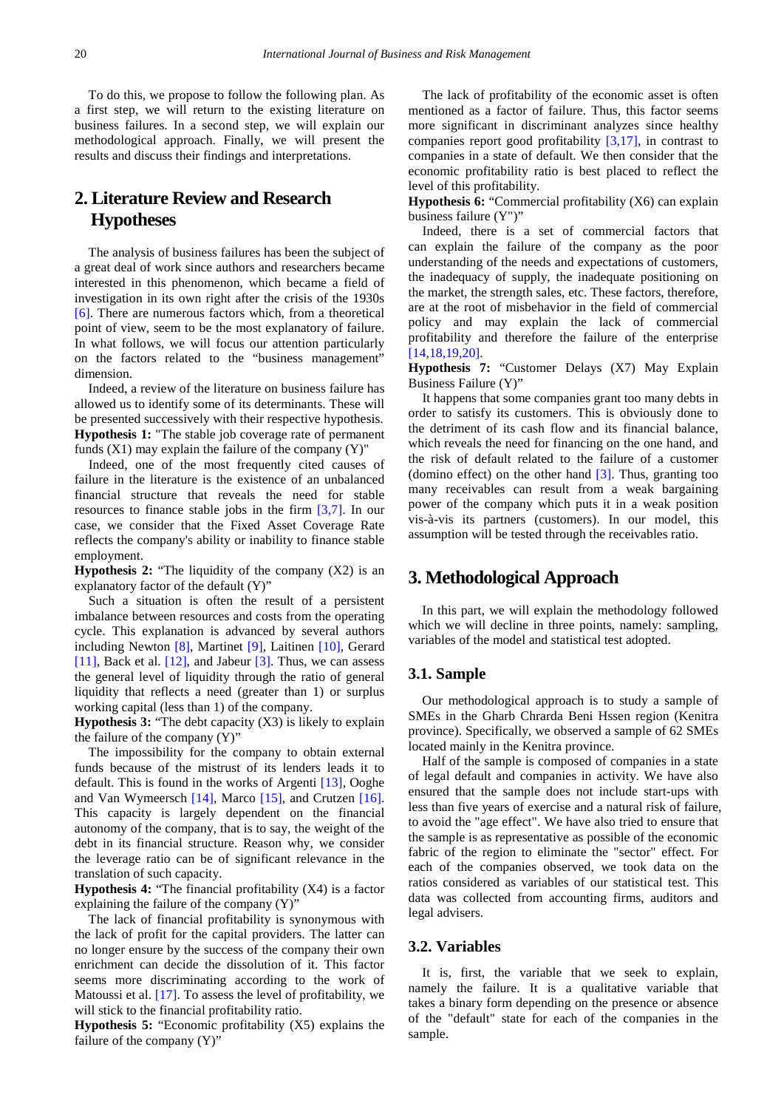To do this, we propose to follow the following plan. As a first step, we will return to the existing literature on business failures. In a second step, we will explain our methodological approach. Finally, we will present the results and discuss their findings and interpretations.

# **2. Literature Review and Research Hypotheses**

The analysis of business failures has been the subject of a great deal of work since authors and researchers became interested in this phenomenon, which became a field of investigation in its own right after the crisis of the 1930s [\[6\].](#page-6-4) There are numerous factors which, from a theoretical point of view, seem to be the most explanatory of failure. In what follows, we will focus our attention particularly on the factors related to the "business management" dimension.

Indeed, a review of the literature on business failure has allowed us to identify some of its determinants. These will be presented successively with their respective hypothesis. **Hypothesis 1:** "The stable job coverage rate of permanent funds  $(X1)$  may explain the failure of the company  $(Y)$ "

Indeed, one of the most frequently cited causes of failure in the literature is the existence of an unbalanced financial structure that reveals the need for stable resources to finance stable jobs in the firm [\[3,7\].](#page-6-5) In our case, we consider that the Fixed Asset Coverage Rate reflects the company's ability or inability to finance stable employment.

**Hypothesis 2:** "The liquidity of the company (X2) is an explanatory factor of the default (Y)"

Such a situation is often the result of a persistent imbalance between resources and costs from the operating cycle. This explanation is advanced by several authors including Newton [\[8\],](#page-6-6) Martinet [\[9\],](#page-6-7) Laitinen [\[10\],](#page-6-8) Gerard [\[11\],](#page-6-9) Back et al. [\[12\],](#page-6-10) and Jabeur [\[3\].](#page-6-5) Thus, we can assess the general level of liquidity through the ratio of general liquidity that reflects a need (greater than 1) or surplus working capital (less than 1) of the company.

**Hypothesis 3:** "The debt capacity (X3) is likely to explain the failure of the company (Y)"

The impossibility for the company to obtain external funds because of the mistrust of its lenders leads it to default. This is found in the works of Argenti [\[13\],](#page-7-0) Ooghe and Van Wymeersch [\[14\],](#page-7-1) Marco [\[15\],](#page-7-2) and Crutzen [\[16\].](#page-7-3) This capacity is largely dependent on the financial autonomy of the company, that is to say, the weight of the debt in its financial structure. Reason why, we consider the leverage ratio can be of significant relevance in the translation of such capacity.

**Hypothesis 4:** "The financial profitability (X4) is a factor explaining the failure of the company (Y)"

The lack of financial profitability is synonymous with the lack of profit for the capital providers. The latter can no longer ensure by the success of the company their own enrichment can decide the dissolution of it. This factor seems more discriminating according to the work of Matoussi et al. [\[17\].](#page-7-4) To assess the level of profitability, we will stick to the financial profitability ratio.

**Hypothesis 5:** "Economic profitability (X5) explains the failure of the company  $(Y)$ "

The lack of profitability of the economic asset is often mentioned as a factor of failure. Thus, this factor seems more significant in discriminant analyzes since healthy companies report good profitability [\[3,17\],](#page-6-5) in contrast to companies in a state of default. We then consider that the economic profitability ratio is best placed to reflect the level of this profitability.

**Hypothesis 6:** "Commercial profitability (X6) can explain business failure (Y")"

Indeed, there is a set of commercial factors that can explain the failure of the company as the poor understanding of the needs and expectations of customers, the inadequacy of supply, the inadequate positioning on the market, the strength sales, etc. These factors, therefore, are at the root of misbehavior in the field of commercial policy and may explain the lack of commercial profitability and therefore the failure of the enterprise [\[14,18,19,20\].](#page-7-1)

**Hypothesis 7:** "Customer Delays (X7) May Explain Business Failure (Y)"

It happens that some companies grant too many debts in order to satisfy its customers. This is obviously done to the detriment of its cash flow and its financial balance, which reveals the need for financing on the one hand, and the risk of default related to the failure of a customer (domino effect) on the other hand [\[3\].](#page-6-5) Thus, granting too many receivables can result from a weak bargaining power of the company which puts it in a weak position vis-à-vis its partners (customers). In our model, this assumption will be tested through the receivables ratio.

# **3. Methodological Approach**

In this part, we will explain the methodology followed which we will decline in three points, namely: sampling, variables of the model and statistical test adopted.

# **3.1. Sample**

Our methodological approach is to study a sample of SMEs in the Gharb Chrarda Beni Hssen region (Kenitra province). Specifically, we observed a sample of 62 SMEs located mainly in the Kenitra province.

Half of the sample is composed of companies in a state of legal default and companies in activity. We have also ensured that the sample does not include start-ups with less than five years of exercise and a natural risk of failure, to avoid the "age effect". We have also tried to ensure that the sample is as representative as possible of the economic fabric of the region to eliminate the "sector" effect. For each of the companies observed, we took data on the ratios considered as variables of our statistical test. This data was collected from accounting firms, auditors and legal advisers.

# **3.2. Variables**

It is, first, the variable that we seek to explain, namely the failure. It is a qualitative variable that takes a binary form depending on the presence or absence of the "default" state for each of the companies in the sample.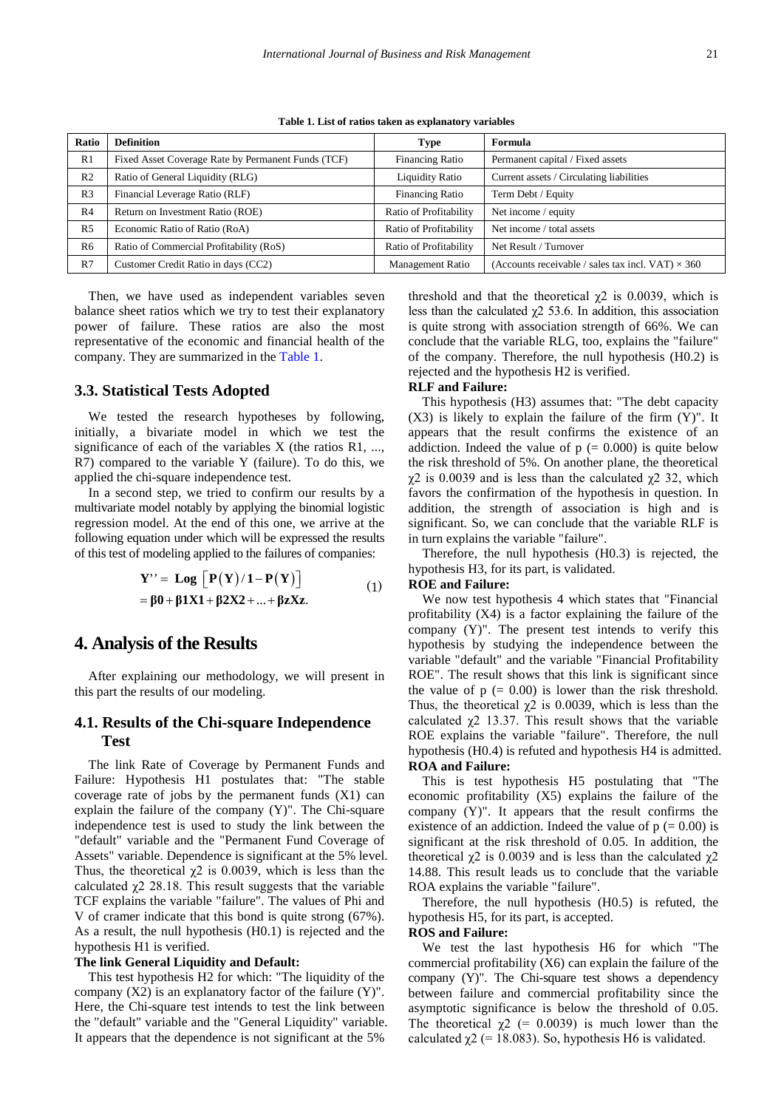<span id="page-2-0"></span>

| <b>Ratio</b>   | <b>Definition</b>                                  | <b>Type</b>             | Formula                                                  |
|----------------|----------------------------------------------------|-------------------------|----------------------------------------------------------|
| R <sub>1</sub> | Fixed Asset Coverage Rate by Permanent Funds (TCF) | <b>Financing Ratio</b>  | Permanent capital / Fixed assets                         |
| R <sub>2</sub> | Ratio of General Liquidity (RLG)                   | <b>Liquidity Ratio</b>  | Current assets / Circulating liabilities                 |
| R <sub>3</sub> | Financial Leverage Ratio (RLF)                     | <b>Financing Ratio</b>  | Term Debt / Equity                                       |
| R <sub>4</sub> | Return on Investment Ratio (ROE)                   | Ratio of Profitability  | Net income / equity                                      |
| R <sub>5</sub> | Economic Ratio of Ratio (RoA)                      | Ratio of Profitability  | Net income / total assets                                |
| R <sub>6</sub> | Ratio of Commercial Profitability (RoS)            | Ratio of Profitability  | Net Result / Turnover                                    |
| R7             | Customer Credit Ratio in days (CC2)                | <b>Management Ratio</b> | (Accounts receivable / sales tax incl. VAT) $\times$ 360 |

**Table 1. List of ratios taken as explanatory variables**

Then, we have used as independent variables seven balance sheet ratios which we try to test their explanatory power of failure. These ratios are also the most representative of the economic and financial health of the company. They are summarized in the [Table 1.](#page-2-0)

#### **3.3. Statistical Tests Adopted**

We tested the research hypotheses by following, initially, a bivariate model in which we test the significance of each of the variables  $X$  (the ratios R1, ..., R7) compared to the variable Y (failure). To do this, we applied the chi-square independence test.

In a second step, we tried to confirm our results by a multivariate model notably by applying the binomial logistic regression model. At the end of this one, we arrive at the following equation under which will be expressed the results of this test of modeling applied to the failures of companies:

$$
Y'' = Log [P(Y)/1-P(Y)]
$$
  
=  $\beta 0 + \beta 1 X 1 + \beta 2 X 2 + ... + \beta 2 X z.$  (1)

# **4. Analysis of the Results**

After explaining our methodology, we will present in this part the results of our modeling.

# **4.1. Results of the Chi-square Independence Test**

The link Rate of Coverage by Permanent Funds and Failure: Hypothesis H1 postulates that: "The stable coverage rate of jobs by the permanent funds (X1) can explain the failure of the company (Y)". The Chi-square independence test is used to study the link between the "default" variable and the "Permanent Fund Coverage of Assets" variable. Dependence is significant at the 5% level. Thus, the theoretical  $\chi$ 2 is 0.0039, which is less than the calculated  $\chi$ 2 28.18. This result suggests that the variable TCF explains the variable "failure". The values of Phi and V of cramer indicate that this bond is quite strong (67%). As a result, the null hypothesis (H0.1) is rejected and the hypothesis H1 is verified.

#### **The link General Liquidity and Default:**

This test hypothesis H2 for which: "The liquidity of the company  $(X2)$  is an explanatory factor of the failure  $(Y)$ ". Here, the Chi-square test intends to test the link between the "default" variable and the "General Liquidity" variable. It appears that the dependence is not significant at the 5%

threshold and that the theoretical  $\chi$ 2 is 0.0039, which is less than the calculated  $\chi$ 2 53.6. In addition, this association is quite strong with association strength of 66%. We can conclude that the variable RLG, too, explains the "failure" of the company. Therefore, the null hypothesis (H0.2) is rejected and the hypothesis H2 is verified.

### **RLF and Failure:**

This hypothesis (H3) assumes that: "The debt capacity (X3) is likely to explain the failure of the firm (Y)". It appears that the result confirms the existence of an addiction. Indeed the value of  $p (= 0.000)$  is quite below the risk threshold of 5%. On another plane, the theoretical  $χ2$  is 0.0039 and is less than the calculated  $χ2$  32, which favors the confirmation of the hypothesis in question. In addition, the strength of association is high and is significant. So, we can conclude that the variable RLF is in turn explains the variable "failure".

Therefore, the null hypothesis (H0.3) is rejected, the hypothesis H3, for its part, is validated.

#### **ROE and Failure:**

We now test hypothesis 4 which states that "Financial profitability (X4) is a factor explaining the failure of the company (Y)". The present test intends to verify this hypothesis by studying the independence between the variable "default" and the variable "Financial Profitability ROE". The result shows that this link is significant since the value of  $p (= 0.00)$  is lower than the risk threshold. Thus, the theoretical  $\chi$ 2 is 0.0039, which is less than the calculated  $\gamma$ 2 13.37. This result shows that the variable ROE explains the variable "failure". Therefore, the null hypothesis (H0.4) is refuted and hypothesis H4 is admitted. **ROA and Failure:**

This is test hypothesis H5 postulating that "The economic profitability (X5) explains the failure of the company (Y)". It appears that the result confirms the existence of an addiction. Indeed the value of  $p (= 0.00)$  is significant at the risk threshold of 0.05. In addition, the theoretical  $χ$ 2 is 0.0039 and is less than the calculated  $χ$ 2 14.88. This result leads us to conclude that the variable ROA explains the variable "failure".

Therefore, the null hypothesis (H0.5) is refuted, the hypothesis H5, for its part, is accepted.

#### **ROS and Failure:**

We test the last hypothesis H6 for which "The commercial profitability (X6) can explain the failure of the company (Y)". The Chi-square test shows a dependency between failure and commercial profitability since the asymptotic significance is below the threshold of 0.05. The theoretical  $\gamma$ 2 (= 0.0039) is much lower than the calculated  $\chi$ 2 (= 18.083). So, hypothesis H6 is validated.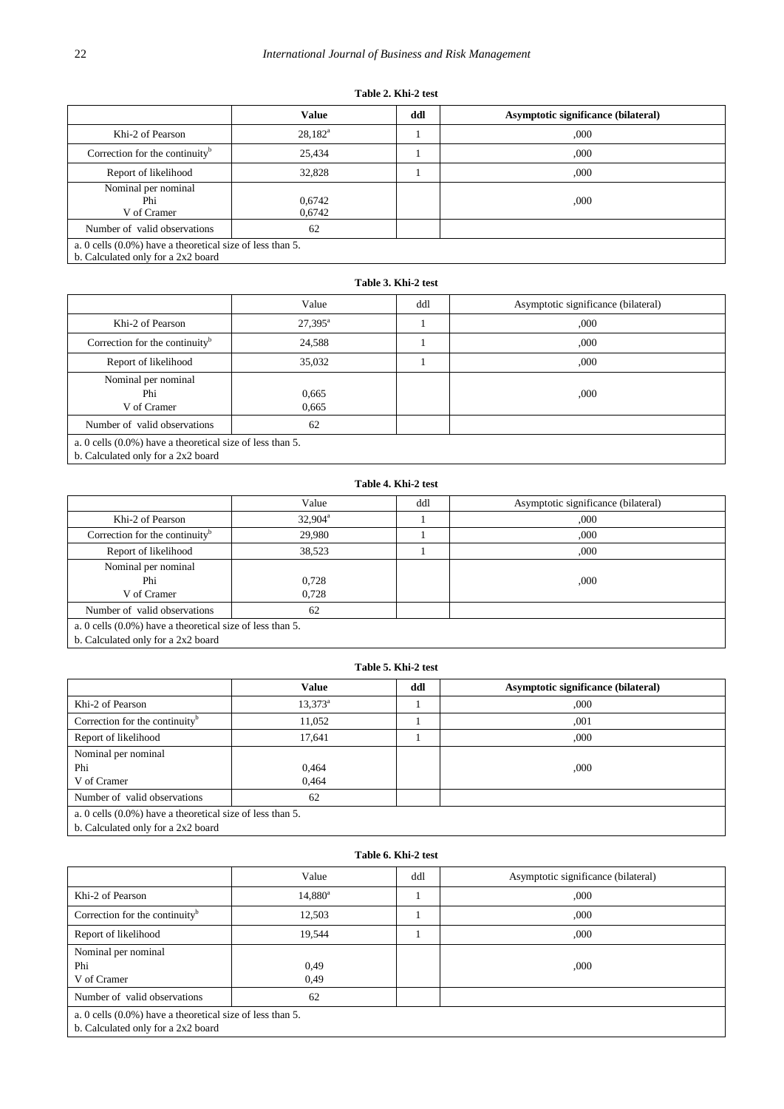# **Table 2. Khi-2 test**

|                                                                                                    | <b>Value</b>     | ddl | Asymptotic significance (bilateral) |
|----------------------------------------------------------------------------------------------------|------------------|-----|-------------------------------------|
| Khi-2 of Pearson                                                                                   | $28,182^{\rm a}$ |     | ,000                                |
| Correction for the continuity <sup>b</sup>                                                         | 25,434           |     | ,000                                |
| Report of likelihood                                                                               | 32,828           |     | ,000                                |
| Nominal per nominal<br>Phi<br>V of Cramer                                                          | 0,6742<br>0,6742 |     | ,000                                |
| Number of valid observations                                                                       | 62               |     |                                     |
| a. 0 cells $(0.0\%)$ have a theoretical size of less than 5.<br>b. Calculated only for a 2x2 board |                  |     |                                     |

# **Table 3. Khi-2 test**

|                                                              | Value            | ddl | Asymptotic significance (bilateral) |  |  |
|--------------------------------------------------------------|------------------|-----|-------------------------------------|--|--|
| Khi-2 of Pearson                                             | $27,395^{\rm a}$ |     | ,000                                |  |  |
| Correction for the continuity $\delta$                       | 24,588           |     | ,000                                |  |  |
| Report of likelihood                                         | 35,032           |     | ,000                                |  |  |
| Nominal per nominal<br>Phi<br>V of Cramer                    | 0,665<br>0,665   |     | ,000                                |  |  |
| Number of valid observations                                 | 62               |     |                                     |  |  |
| a. 0 cells $(0.0\%)$ have a theoretical size of less than 5. |                  |     |                                     |  |  |

b. Calculated only for a 2x2 board

# **Table 4. Khi-2 test**

|                                                              | Value      | ddl | Asymptotic significance (bilateral) |  |  |
|--------------------------------------------------------------|------------|-----|-------------------------------------|--|--|
| Khi-2 of Pearson                                             | $32,904^a$ |     | ,000                                |  |  |
| Correction for the continuity $\mathbf{b}$                   | 29.980     |     | ,000                                |  |  |
| Report of likelihood                                         | 38,523     |     | ,000                                |  |  |
| Nominal per nominal                                          |            |     |                                     |  |  |
| Phi                                                          | 0,728      |     | ,000                                |  |  |
| V of Cramer                                                  | 0.728      |     |                                     |  |  |
| Number of valid observations                                 | 62         |     |                                     |  |  |
| a. 0 cells $(0.0\%)$ have a theoretical size of less than 5. |            |     |                                     |  |  |

b. Calculated only for a 2x2 board

# **Table 5. Khi-2 test**

|                                                              | Value            | ddl | Asymptotic significance (bilateral) |
|--------------------------------------------------------------|------------------|-----|-------------------------------------|
| Khi-2 of Pearson                                             | $13,373^{\rm a}$ |     | ,000                                |
| Correction for the continuity <sup>b</sup>                   | 11,052           |     | ,001                                |
| Report of likelihood                                         | 17.641           |     | ,000                                |
| Nominal per nominal                                          |                  |     |                                     |
| Phi                                                          | 0,464            |     | ,000                                |
| V of Cramer                                                  | 0.464            |     |                                     |
| Number of valid observations                                 | 62               |     |                                     |
| a. 0 cells $(0.0\%)$ have a theoretical size of less than 5. |                  |     |                                     |
| $h$ Coloulated only for a $2x2$ hoord                        |                  |     |                                     |

b. Calculated only for a 2x2 board

# **Table 6. Khi-2 test**

|                                                              | Value      | ddl | Asymptotic significance (bilateral) |  |  |
|--------------------------------------------------------------|------------|-----|-------------------------------------|--|--|
| Khi-2 of Pearson                                             | $14,880^a$ |     | ,000                                |  |  |
| Correction for the continuity <sup>b</sup>                   | 12,503     |     | ,000                                |  |  |
| Report of likelihood                                         | 19,544     |     | ,000                                |  |  |
| Nominal per nominal                                          |            |     |                                     |  |  |
| Phi                                                          | 0,49       |     | ,000                                |  |  |
| V of Cramer                                                  | 0,49       |     |                                     |  |  |
| Number of valid observations                                 | 62         |     |                                     |  |  |
| a. 0 cells $(0.0\%)$ have a theoretical size of less than 5. |            |     |                                     |  |  |
| b. Calculated only for a 2x2 board                           |            |     |                                     |  |  |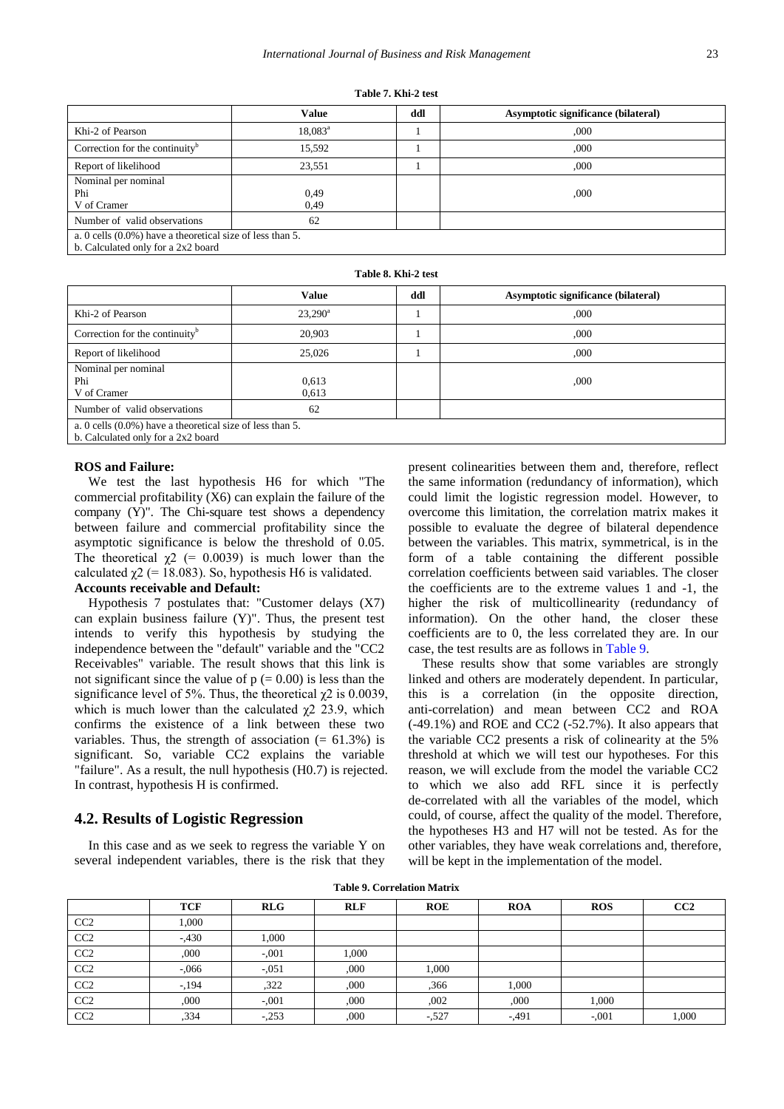|                                                                                                                                                                                                                                                                                                                                                                                                                                                      | <b>Value</b>     | ddl | Asymptotic significance (bilateral) |  |  |
|------------------------------------------------------------------------------------------------------------------------------------------------------------------------------------------------------------------------------------------------------------------------------------------------------------------------------------------------------------------------------------------------------------------------------------------------------|------------------|-----|-------------------------------------|--|--|
| Khi-2 of Pearson                                                                                                                                                                                                                                                                                                                                                                                                                                     | $18,083^{\rm a}$ |     | ,000                                |  |  |
| Correction for the continuity <sup>b</sup>                                                                                                                                                                                                                                                                                                                                                                                                           | 15,592           |     | ,000                                |  |  |
| Report of likelihood                                                                                                                                                                                                                                                                                                                                                                                                                                 | 23,551           |     | ,000                                |  |  |
| Nominal per nominal                                                                                                                                                                                                                                                                                                                                                                                                                                  |                  |     |                                     |  |  |
| Phi                                                                                                                                                                                                                                                                                                                                                                                                                                                  | 0,49             |     | ,000                                |  |  |
| V of Cramer                                                                                                                                                                                                                                                                                                                                                                                                                                          | 0.49             |     |                                     |  |  |
| Number of valid observations                                                                                                                                                                                                                                                                                                                                                                                                                         | 62               |     |                                     |  |  |
| a. 0 cells $(0.0\%)$ have a theoretical size of less than 5.<br>$\overline{1}$ $\overline{0}$ $\overline{1}$ $\overline{1}$ $\overline{1}$ $\overline{1}$ $\overline{0}$ $\overline{0}$ $\overline{0}$ $\overline{1}$ $\overline{1}$ $\overline{1}$ $\overline{0}$ $\overline{0}$ $\overline{1}$ $\overline{1}$ $\overline{1}$ $\overline{0}$ $\overline{1}$ $\overline{1}$ $\overline{0}$ $\overline{1}$ $\overline{1}$ $\overline{0}$ $\overline{$ |                  |     |                                     |  |  |

b. Calculated only for a 2x2 board

**Table 8. Khi-2 test**

|                                                                                                    | <b>Value</b>   | ddl | Asymptotic significance (bilateral) |  |  |
|----------------------------------------------------------------------------------------------------|----------------|-----|-------------------------------------|--|--|
| Khi-2 of Pearson                                                                                   | $23,290^a$     |     | ,000                                |  |  |
| Correction for the continuity <sup>b</sup>                                                         | 20,903         |     | ,000                                |  |  |
| Report of likelihood                                                                               | 25,026         |     | ,000                                |  |  |
| Nominal per nominal<br>Phi<br>V of Cramer                                                          | 0,613<br>0,613 |     | ,000                                |  |  |
| Number of valid observations                                                                       | 62             |     |                                     |  |  |
| a. 0 cells $(0.0\%)$ have a theoretical size of less than 5.<br>b. Calculated only for a 2x2 board |                |     |                                     |  |  |

#### **ROS and Failure:**

We test the last hypothesis H6 for which "The commercial profitability (X6) can explain the failure of the company (Y)". The Chi-square test shows a dependency between failure and commercial profitability since the asymptotic significance is below the threshold of 0.05. The theoretical  $\gamma$ 2 (= 0.0039) is much lower than the calculated  $\gamma$ 2 (= 18.083). So, hypothesis H6 is validated. **Accounts receivable and Default:**

Hypothesis 7 postulates that: "Customer delays (X7) can explain business failure (Y)". Thus, the present test intends to verify this hypothesis by studying the independence between the "default" variable and the "CC2 Receivables" variable. The result shows that this link is not significant since the value of  $p (= 0.00)$  is less than the significance level of 5%. Thus, the theoretical  $\chi$ 2 is 0.0039, which is much lower than the calculated  $\chi$ 2 23.9, which confirms the existence of a link between these two variables. Thus, the strength of association  $(= 61.3\%)$  is significant. So, variable CC2 explains the variable "failure". As a result, the null hypothesis (H0.7) is rejected. In contrast, hypothesis H is confirmed.

# **4.2. Results of Logistic Regression**

In this case and as we seek to regress the variable Y on several independent variables, there is the risk that they present colinearities between them and, therefore, reflect the same information (redundancy of information), which could limit the logistic regression model. However, to overcome this limitation, the correlation matrix makes it possible to evaluate the degree of bilateral dependence between the variables. This matrix, symmetrical, is in the form of a table containing the different possible correlation coefficients between said variables. The closer the coefficients are to the extreme values 1 and -1, the higher the risk of multicollinearity (redundancy of information). On the other hand, the closer these coefficients are to 0, the less correlated they are. In our case, the test results are as follows in [Table 9.](#page-4-0)

These results show that some variables are strongly linked and others are moderately dependent. In particular, this is a correlation (in the opposite direction, anti-correlation) and mean between CC2 and ROA (-49.1%) and ROE and CC2 (-52.7%). It also appears that the variable CC2 presents a risk of colinearity at the 5% threshold at which we will test our hypotheses. For this reason, we will exclude from the model the variable CC2 to which we also add RFL since it is perfectly de-correlated with all the variables of the model, which could, of course, affect the quality of the model. Therefore, the hypotheses H3 and H7 will not be tested. As for the other variables, they have weak correlations and, therefore, will be kept in the implementation of the model.

**Table 9. Correlation Matrix**

<span id="page-4-0"></span>

|                 | <b>TCF</b> | <b>RLG</b> | <b>RLF</b> | <b>ROE</b> | <b>ROA</b> | <b>ROS</b> | CC2   |
|-----------------|------------|------------|------------|------------|------------|------------|-------|
|                 |            |            |            |            |            |            |       |
| CC2             | 1,000      |            |            |            |            |            |       |
| CC2             | $-.430$    | 1,000      |            |            |            |            |       |
| CC2             | ,000       | $-.001$    | 1,000      |            |            |            |       |
| CC <sub>2</sub> | $-0.066$   | $-.051$    | ,000       | 1,000      |            |            |       |
| CC2             | $-194$     | ,322       | ,000       | ,366       | 1,000      |            |       |
| CC <sub>2</sub> | ,000       | $-.001$    | ,000       | ,002       | .000       | 1,000      |       |
| CC2             | ,334       | $-.253$    | ,000       | $-527$     | $-491$     | $-.001$    | 1,000 |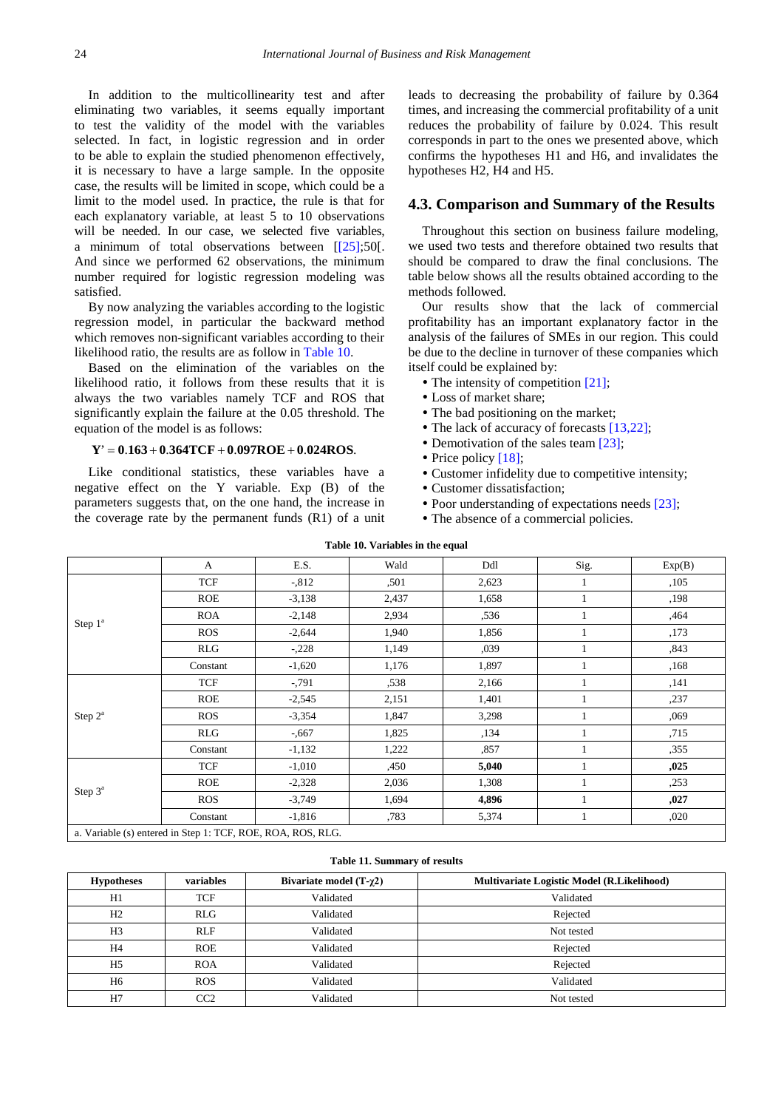In addition to the multicollinearity test and after eliminating two variables, it seems equally important to test the validity of the model with the variables selected. In fact, in logistic regression and in order to be able to explain the studied phenomenon effectively, it is necessary to have a large sample. In the opposite case, the results will be limited in scope, which could be a limit to the model used. In practice, the rule is that for each explanatory variable, at least 5 to 10 observations will be needed. In our case, we selected five variables, a minimum of total observations between [[25];50[. And since we performed 62 observations, the minimum number required for logistic regression modeling was satisfied.

By now analyzing the variables according to the logistic regression model, in particular the backward method which removes non-significant variables according to their likelihood ratio, the results are as follow in [Table 10.](#page-5-0)

Based on the elimination of the variables on the likelihood ratio, it follows from these results that it is always the two variables namely TCF and ROS that significantly explain the failure at the 0.05 threshold. The equation of the model is as follows:

#### $Y' = 0.163 + 0.364TCF + 0.097ROE + 0.024ROS.$

Like conditional statistics, these variables have a negative effect on the Y variable. Exp (B) of the parameters suggests that, on the one hand, the increase in the coverage rate by the permanent funds (R1) of a unit leads to decreasing the probability of failure by 0.364 times, and increasing the commercial profitability of a unit reduces the probability of failure by 0.024. This result corresponds in part to the ones we presented above, which confirms the hypotheses H1 and H6, and invalidates the hypotheses H2, H4 and H5.

# **4.3. Comparison and Summary of the Results**

Throughout this section on business failure modeling, we used two tests and therefore obtained two results that should be compared to draw the final conclusions. The table below shows all the results obtained according to the methods followed.

Our results show that the lack of commercial profitability has an important explanatory factor in the analysis of the failures of SMEs in our region. This could be due to the decline in turnover of these companies which itself could be explained by:

- The intensity of competition  $[21]$ ;
- Loss of market share;
- The bad positioning on the market:
- The lack of accuracy of forecast[s \[13,22\];](#page-7-0)
- Demotivation of the sales tea[m \[23\];](#page-7-6)
- Price policy [18]:
- Customer infidelity due to competitive intensity;
- Customer dissatisfaction;
- Poor understanding of expectations needs [\[23\];](#page-7-6)
- The absence of a commercial policies.

<span id="page-5-0"></span>

|                     |                                                             |          | Table 10. Variables in the equal |       |              |        |
|---------------------|-------------------------------------------------------------|----------|----------------------------------|-------|--------------|--------|
|                     | $\mathbf{A}$                                                | E.S.     | Wald                             | Ddl   | Sig.         | Exp(B) |
|                     | <b>TCF</b>                                                  | $-0.812$ | ,501                             | 2,623 | $\mathbf 1$  | ,105   |
|                     | <b>ROE</b>                                                  | $-3,138$ | 2,437                            | 1,658 | $\mathbf{1}$ | ,198   |
|                     | <b>ROA</b>                                                  | $-2,148$ | 2,934                            | ,536  | 1            | ,464   |
| Step 1 <sup>a</sup> | <b>ROS</b>                                                  | $-2,644$ | 1,940                            | 1,856 |              | ,173   |
|                     | RLG                                                         | $-.228$  | 1,149                            | ,039  |              | ,843   |
|                     | Constant                                                    | $-1,620$ | 1,176                            | 1,897 |              | ,168   |
|                     | <b>TCF</b>                                                  | $-0.791$ | ,538                             | 2,166 |              | ,141   |
|                     | <b>ROE</b>                                                  | $-2,545$ | 2,151                            | 1,401 |              | ,237   |
| Step $2^a$          | <b>ROS</b>                                                  | $-3,354$ | 1,847                            | 3,298 | 1            | ,069   |
|                     | RLG                                                         | $-0.667$ | 1,825                            | ,134  |              | ,715   |
|                     | Constant                                                    | $-1,132$ | 1,222                            | .857  |              | ,355   |
|                     | <b>TCF</b>                                                  | $-1,010$ | ,450                             | 5,040 |              | ,025   |
|                     | <b>ROE</b>                                                  | $-2,328$ | 2,036                            | 1,308 |              | ,253   |
| Step $3^a$          | <b>ROS</b>                                                  | $-3,749$ | 1,694                            | 4,896 |              | ,027   |
|                     | Constant                                                    | $-1,816$ | ,783                             | 5,374 | $\mathbf{1}$ | ,020   |
|                     | a. Variable (s) entered in Step 1: TCF, ROE, ROA, ROS, RLG. |          |                                  |       |              |        |

**Table 10. Variables in the equal**

| <b>Hypotheses</b> | variables       | Bivariate model $(T-\gamma2)$ | Multivariate Logistic Model (R.Likelihood) |
|-------------------|-----------------|-------------------------------|--------------------------------------------|
| H1                | <b>TCF</b>      | Validated                     | Validated                                  |
| H2                | <b>RLG</b>      | Validated                     | Rejected                                   |
| H <sub>3</sub>    | <b>RLF</b>      | Validated                     | Not tested                                 |
| H <sub>4</sub>    | <b>ROE</b>      | Validated                     | Rejected                                   |
| H <sub>5</sub>    | <b>ROA</b>      | Validated                     | Rejected                                   |
| H <sub>6</sub>    | <b>ROS</b>      | Validated                     | Validated                                  |
| H7                | CC <sub>2</sub> | Validated                     | Not tested                                 |

**Table 11. Summary of results**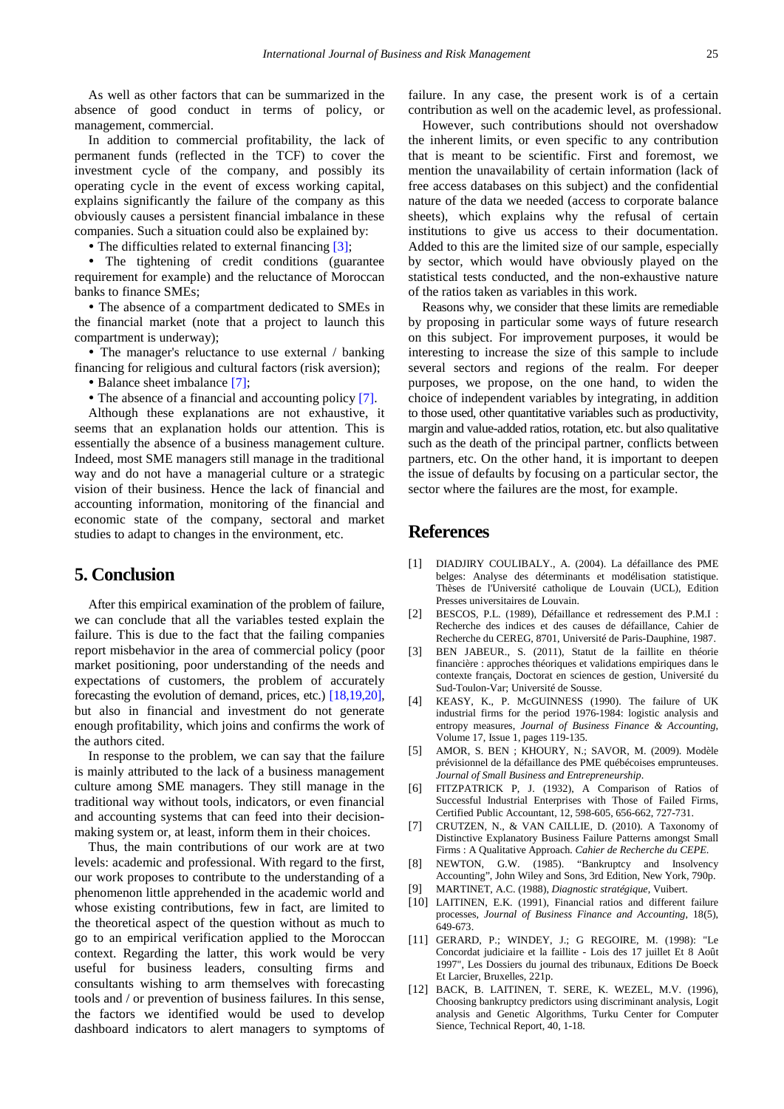As well as other factors that can be summarized in the absence of good conduct in terms of policy, or management, commercial.

In addition to commercial profitability, the lack of permanent funds (reflected in the TCF) to cover the investment cycle of the company, and possibly its operating cycle in the event of excess working capital, explains significantly the failure of the company as this obviously causes a persistent financial imbalance in these companies. Such a situation could also be explained by:

• The difficulties related to external financing [\[3\];](#page-6-5)

 The tightening of credit conditions (guarantee requirement for example) and the reluctance of Moroccan banks to finance SMEs;

 The absence of a compartment dedicated to SMEs in the financial market (note that a project to launch this compartment is underway);

• The manager's reluctance to use external / banking financing for religious and cultural factors (risk aversion); • Balance sheet imbalanc[e \[7\];](#page-6-11)

• The absence of a financial and accounting polic[y \[7\].](#page-6-11)

Although these explanations are not exhaustive, it seems that an explanation holds our attention. This is essentially the absence of a business management culture. Indeed, most SME managers still manage in the traditional way and do not have a managerial culture or a strategic vision of their business. Hence the lack of financial and accounting information, monitoring of the financial and economic state of the company, sectoral and market studies to adapt to changes in the environment, etc.

# **5. Conclusion**

After this empirical examination of the problem of failure, we can conclude that all the variables tested explain the failure. This is due to the fact that the failing companies report misbehavior in the area of commercial policy (poor market positioning, poor understanding of the needs and expectations of customers, the problem of accurately forecasting the evolution of demand, prices, etc.) [\[18,19,20\],](#page-7-7) but also in financial and investment do not generate enough profitability, which joins and confirms the work of the authors cited.

In response to the problem, we can say that the failure is mainly attributed to the lack of a business management culture among SME managers. They still manage in the traditional way without tools, indicators, or even financial and accounting systems that can feed into their decisionmaking system or, at least, inform them in their choices.

Thus, the main contributions of our work are at two levels: academic and professional. With regard to the first, our work proposes to contribute to the understanding of a phenomenon little apprehended in the academic world and whose existing contributions, few in fact, are limited to the theoretical aspect of the question without as much to go to an empirical verification applied to the Moroccan context. Regarding the latter, this work would be very useful for business leaders, consulting firms and consultants wishing to arm themselves with forecasting tools and / or prevention of business failures. In this sense, the factors we identified would be used to develop dashboard indicators to alert managers to symptoms of failure. In any case, the present work is of a certain contribution as well on the academic level, as professional.

However, such contributions should not overshadow the inherent limits, or even specific to any contribution that is meant to be scientific. First and foremost, we mention the unavailability of certain information (lack of free access databases on this subject) and the confidential nature of the data we needed (access to corporate balance sheets), which explains why the refusal of certain institutions to give us access to their documentation. Added to this are the limited size of our sample, especially by sector, which would have obviously played on the statistical tests conducted, and the non-exhaustive nature of the ratios taken as variables in this work.

Reasons why, we consider that these limits are remediable by proposing in particular some ways of future research on this subject. For improvement purposes, it would be interesting to increase the size of this sample to include several sectors and regions of the realm. For deeper purposes, we propose, on the one hand, to widen the choice of independent variables by integrating, in addition to those used, other quantitative variables such as productivity, margin and value-added ratios, rotation, etc. but also qualitative such as the death of the principal partner, conflicts between partners, etc. On the other hand, it is important to deepen the issue of defaults by focusing on a particular sector, the sector where the failures are the most, for example.

# **References**

- <span id="page-6-0"></span>[1] DIADJIRY COULIBALY., A. (2004). La défaillance des PME belges: Analyse des déterminants et modélisation statistique. Thèses de l'Université catholique de Louvain (UCL), Edition Presses universitaires de Louvain.
- <span id="page-6-1"></span>[2] BESCOS, P.L. (1989), Défaillance et redressement des P.M.I : Recherche des indices et des causes de défaillance, Cahier de Recherche du CEREG, 8701, Université de Paris-Dauphine, 1987.
- <span id="page-6-5"></span>[3] BEN JABEUR., S. (2011), Statut de la faillite en théorie financière : approches théoriques et validations empiriques dans le contexte français, Doctorat en sciences de gestion, Université du Sud-Toulon-Var; Université de Sousse.
- <span id="page-6-2"></span>[4] KEASY, K., P. McGUINNESS (1990). The failure of UK industrial firms for the period 1976-1984: logistic analysis and entropy measures, *Journal of Business Finance & Accounting*, Volume 17, Issue 1, pages 119-135.
- <span id="page-6-3"></span>[5] AMOR, S. BEN ; KHOURY, N.; SAVOR, M. (2009). Modèle prévisionnel de la défaillance des PME québécoises emprunteuses. *Journal of Small Business and Entrepreneurship*.
- <span id="page-6-4"></span>[6] FITZPATRICK P, J. (1932), A Comparison of Ratios of Successful Industrial Enterprises with Those of Failed Firms, Certified Public Accountant, 12, 598-605, 656-662, 727-731.
- <span id="page-6-11"></span>[7] CRUTZEN, N., & VAN CAILLIE, D. (2010). A Taxonomy of Distinctive Explanatory Business Failure Patterns amongst Small Firms : A Qualitative Approach*. Cahier de Recherche du CEPE*.
- <span id="page-6-6"></span>[8] NEWTON, G.W. (1985). "Bankruptcy and Insolvency Accounting", John Wiley and Sons, 3rd Edition, New York, 790p.
- <span id="page-6-7"></span>[9] MARTINET, A.C. (1988), *Diagnostic stratégique*, Vuibert.
- <span id="page-6-8"></span>[10] LAITINEN, E.K. (1991), Financial ratios and different failure processes, *Journal of Business Finance and Accounting*, 18(5), 649-673.
- <span id="page-6-9"></span>[11] GERARD, P.; WINDEY, J.; G REGOIRE, M. (1998): "Le Concordat judiciaire et la faillite - Lois des 17 juillet Et 8 Août 1997", Les Dossiers du journal des tribunaux, Editions De Boeck Et Larcier, Bruxelles, 221p.
- <span id="page-6-10"></span>[12] BACK, B. LAITINEN, T. SERE, K. WEZEL, M.V. (1996), Choosing bankruptcy predictors using discriminant analysis, Logit analysis and Genetic Algorithms, Turku Center for Computer Sience, Technical Report, 40, 1-18.